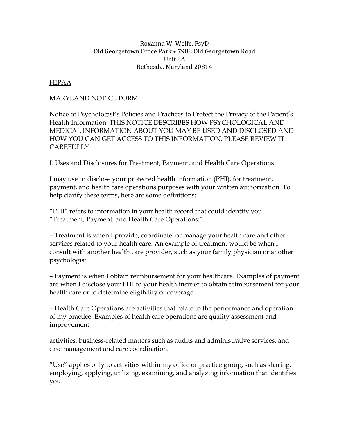## Roxanna W. Wolfe, PsyD Old Georgetown Office Park • 7988 Old Georgetown Road Unit 8A Bethesda, Maryland 20814

## HIPAA

## MARYLAND NOTICE FORM

Notice of Psychologist's Policies and Practices to Protect the Privacy of the Patient's Health Information: THIS NOTICE DESCRIBES HOW PSYCHOLOGICAL AND MEDICAL INFORMATION ABOUT YOU MAY BE USED AND DISCLOSED AND HOW YOU CAN GET ACCESS TO THIS INFORMATION. PLEASE REVIEW IT CAREFULLY.

I. Uses and Disclosures for Treatment, Payment, and Health Care Operations

I may use or disclose your protected health information (PHI), for treatment, payment, and health care operations purposes with your written authorization. To help clarify these terms, here are some definitions:

"PHI" refers to information in your health record that could identify you. "Treatment, Payment, and Health Care Operations:"

– Treatment is when I provide, coordinate, or manage your health care and other services related to your health care. An example of treatment would be when I consult with another health care provider, such as your family physician or another psychologist.

– Payment is when I obtain reimbursement for your healthcare. Examples of payment are when I disclose your PHI to your health insurer to obtain reimbursement for your health care or to determine eligibility or coverage.

– Health Care Operations are activities that relate to the performance and operation of my practice. Examples of health care operations are quality assessment and improvement

activities, business-related matters such as audits and administrative services, and case management and care coordination.

"Use" applies only to activities within my office or practice group, such as sharing, employing, applying, utilizing, examining, and analyzing information that identifies you.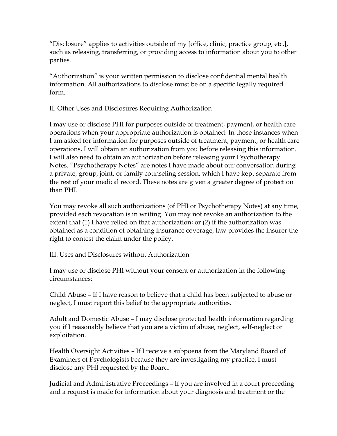"Disclosure" applies to activities outside of my [office, clinic, practice group, etc.], such as releasing, transferring, or providing access to information about you to other parties.

"Authorization" is your written permission to disclose confidential mental health information. All authorizations to disclose must be on a specific legally required form.

II. Other Uses and Disclosures Requiring Authorization

I may use or disclose PHI for purposes outside of treatment, payment, or health care operations when your appropriate authorization is obtained. In those instances when I am asked for information for purposes outside of treatment, payment, or health care operations, I will obtain an authorization from you before releasing this information. I will also need to obtain an authorization before releasing your Psychotherapy Notes. "Psychotherapy Notes" are notes I have made about our conversation during a private, group, joint, or family counseling session, which I have kept separate from the rest of your medical record. These notes are given a greater degree of protection than PHI.

You may revoke all such authorizations (of PHI or Psychotherapy Notes) at any time, provided each revocation is in writing. You may not revoke an authorization to the extent that (1) I have relied on that authorization; or (2) if the authorization was obtained as a condition of obtaining insurance coverage, law provides the insurer the right to contest the claim under the policy.

III. Uses and Disclosures without Authorization

I may use or disclose PHI without your consent or authorization in the following circumstances:

Child Abuse – If I have reason to believe that a child has been subjected to abuse or neglect, I must report this belief to the appropriate authorities.

Adult and Domestic Abuse – I may disclose protected health information regarding you if I reasonably believe that you are a victim of abuse, neglect, self-neglect or exploitation.

Health Oversight Activities – If I receive a subpoena from the Maryland Board of Examiners of Psychologists because they are investigating my practice, I must disclose any PHI requested by the Board.

Judicial and Administrative Proceedings – If you are involved in a court proceeding and a request is made for information about your diagnosis and treatment or the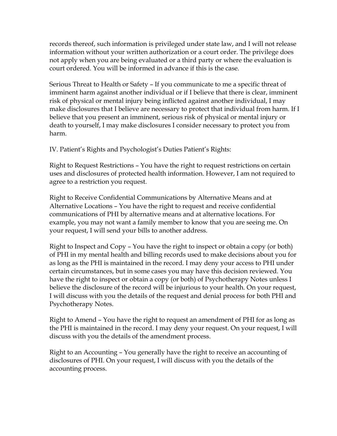records thereof, such information is privileged under state law, and I will not release information without your written authorization or a court order. The privilege does not apply when you are being evaluated or a third party or where the evaluation is court ordered. You will be informed in advance if this is the case.

Serious Threat to Health or Safety – If you communicate to me a specific threat of imminent harm against another individual or if I believe that there is clear, imminent risk of physical or mental injury being inflicted against another individual, I may make disclosures that I believe are necessary to protect that individual from harm. If I believe that you present an imminent, serious risk of physical or mental injury or death to yourself, I may make disclosures I consider necessary to protect you from harm.

IV. Patient's Rights and Psychologist's Duties Patient's Rights:

Right to Request Restrictions – You have the right to request restrictions on certain uses and disclosures of protected health information. However, I am not required to agree to a restriction you request.

Right to Receive Confidential Communications by Alternative Means and at Alternative Locations – You have the right to request and receive confidential communications of PHI by alternative means and at alternative locations. For example, you may not want a family member to know that you are seeing me. On your request, I will send your bills to another address.

Right to Inspect and Copy – You have the right to inspect or obtain a copy (or both) of PHI in my mental health and billing records used to make decisions about you for as long as the PHI is maintained in the record. I may deny your access to PHI under certain circumstances, but in some cases you may have this decision reviewed. You have the right to inspect or obtain a copy (or both) of Psychotherapy Notes unless I believe the disclosure of the record will be injurious to your health. On your request, I will discuss with you the details of the request and denial process for both PHI and Psychotherapy Notes.

Right to Amend – You have the right to request an amendment of PHI for as long as the PHI is maintained in the record. I may deny your request. On your request, I will discuss with you the details of the amendment process.

Right to an Accounting – You generally have the right to receive an accounting of disclosures of PHI. On your request, I will discuss with you the details of the accounting process.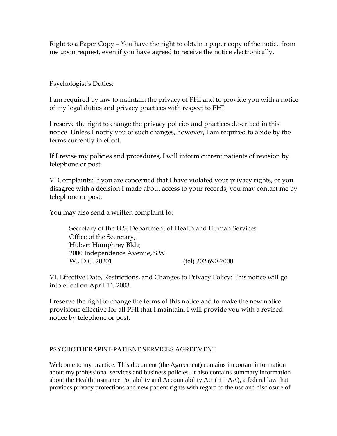Right to a Paper Copy – You have the right to obtain a paper copy of the notice from me upon request, even if you have agreed to receive the notice electronically.

# Psychologist's Duties:

I am required by law to maintain the privacy of PHI and to provide you with a notice of my legal duties and privacy practices with respect to PHI.

I reserve the right to change the privacy policies and practices described in this notice. Unless I notify you of such changes, however, I am required to abide by the terms currently in effect.

If I revise my policies and procedures, I will inform current patients of revision by telephone or post.

V. Complaints: If you are concerned that I have violated your privacy rights, or you disagree with a decision I made about access to your records, you may contact me by telephone or post.

You may also send a written complaint to:

Secretary of the U.S. Department of Health and Human Services Office of the Secretary, Hubert Humphrey Bldg 2000 Independence Avenue, S.W. W., D.C. 20201 (tel) 202 690-7000

VI. Effective Date, Restrictions, and Changes to Privacy Policy: This notice will go into effect on April 14, 2003.

I reserve the right to change the terms of this notice and to make the new notice provisions effective for all PHI that I maintain. I will provide you with a revised notice by telephone or post.

# PSYCHOTHERAPIST-PATIENT SERVICES AGREEMENT

Welcome to my practice. This document (the Agreement) contains important information about my professional services and business policies. It also contains summary information about the Health Insurance Portability and Accountability Act (HIPAA), a federal law that provides privacy protections and new patient rights with regard to the use and disclosure of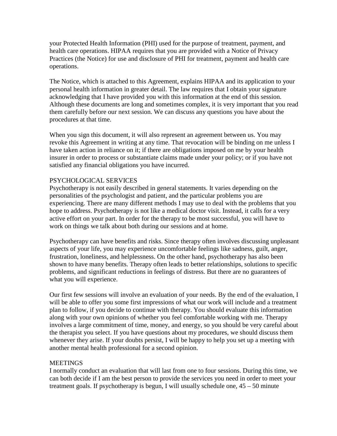your Protected Health Information (PHI) used for the purpose of treatment, payment, and health care operations. HIPAA requires that you are provided with a Notice of Privacy Practices (the Notice) for use and disclosure of PHI for treatment, payment and health care operations.

The Notice, which is attached to this Agreement, explains HIPAA and its application to your personal health information in greater detail. The law requires that I obtain your signature acknowledging that I have provided you with this information at the end of this session. Although these documents are long and sometimes complex, it is very important that you read them carefully before our next session. We can discuss any questions you have about the procedures at that time.

When you sign this document, it will also represent an agreement between us. You may revoke this Agreement in writing at any time. That revocation will be binding on me unless I have taken action in reliance on it; if there are obligations imposed on me by your health insurer in order to process or substantiate claims made under your policy; or if you have not satisfied any financial obligations you have incurred.

## PSYCHOLOGICAL SERVICES

Psychotherapy is not easily described in general statements. It varies depending on the personalities of the psychologist and patient, and the particular problems you are experiencing. There are many different methods I may use to deal with the problems that you hope to address. Psychotherapy is not like a medical doctor visit. Instead, it calls for a very active effort on your part. In order for the therapy to be most successful, you will have to work on things we talk about both during our sessions and at home.

Psychotherapy can have benefits and risks. Since therapy often involves discussing unpleasant aspects of your life, you may experience uncomfortable feelings like sadness, guilt, anger, frustration, loneliness, and helplessness. On the other hand, psychotherapy has also been shown to have many benefits. Therapy often leads to better relationships, solutions to specific problems, and significant reductions in feelings of distress. But there are no guarantees of what you will experience.

Our first few sessions will involve an evaluation of your needs. By the end of the evaluation, I will be able to offer you some first impressions of what our work will include and a treatment plan to follow, if you decide to continue with therapy. You should evaluate this information along with your own opinions of whether you feel comfortable working with me. Therapy involves a large commitment of time, money, and energy, so you should be very careful about the therapist you select. If you have questions about my procedures, we should discuss them whenever they arise. If your doubts persist, I will be happy to help you set up a meeting with another mental health professional for a second opinion.

## **MEETINGS**

I normally conduct an evaluation that will last from one to four sessions. During this time, we can both decide if I am the best person to provide the services you need in order to meet your treatment goals. If psychotherapy is begun, I will usually schedule one,  $45 - 50$  minute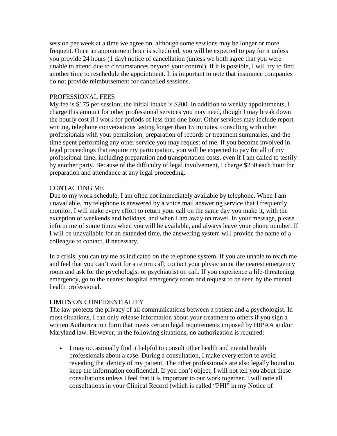session per week at a time we agree on, although some sessions may be longer or more frequent. Once an appointment hour is scheduled, you will be expected to pay for it unless you provide 24 hours (1 day) notice of cancellation (unless we both agree that you were unable to attend due to circumstances beyond your control). If it is possible, I will try to find another time to reschedule the appointment. It is important to note that insurance companies do not provide reimbursement for cancelled sessions.

#### PROFESSIONAL FEES

My fee is \$175 per session; the initial intake is \$200. In addition to weekly appointments, I charge this amount for other professional services you may need, though I may break down the hourly cost if I work for periods of less than one hour. Other services may include report writing, telephone conversations lasting longer than 15 minutes, consulting with other professionals with your permission, preparation of records or treatment summaries, and the time spent performing any other service you may request of me. If you become involved in legal proceedings that require my participation, you will be expected to pay for all of my professional time, including preparation and transportation costs, even if I am called to testify by another party. Because of the difficulty of legal involvement, I charge \$250 each hour for preparation and attendance at any legal proceeding.

#### CONTACTING ME

Due to my work schedule, I am often not immediately available by telephone. When I am unavailable, my telephone is answered by a voice mail answering service that I frequently monitor. I will make every effort to return your call on the same day you make it, with the exception of weekends and holidays, and when I am away on travel. In your message, please inform me of some times when you will be available, and always leave your phone number. If I will be unavailable for an extended time, the answering system will provide the name of a colleague to contact, if necessary.

In a crisis, you can try me as indicated on the telephone system. If you are unable to reach me and feel that you can't wait for a return call, contact your physician or the nearest emergency room and ask for the psychologist or psychiatrist on call. If you experience a life-threatening emergency, go to the nearest hospital emergency room and request to be seen by the mental health professional.

#### LIMITS ON CONFIDENTIALITY

The law protects the privacy of all communications between a patient and a psychologist. In most situations, I can only release information about your treatment to others if you sign a written Authorization form that meets certain legal requirements imposed by HIPAA and/or Maryland law. However, in the following situations, no authorization is required:

• I may occasionally find it helpful to consult other health and mental health professionals about a case. During a consultation, I make every effort to avoid revealing the identity of my patient. The other professionals are also legally bound to keep the information confidential. If you don't object, I will not tell you about these consultations unless I feel that it is important to our work together. I will note all consultations in your Clinical Record (which is called "PHI" in my Notice of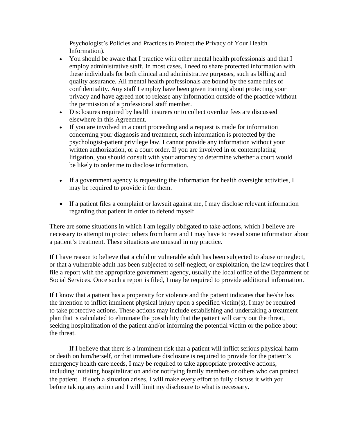Psychologist's Policies and Practices to Protect the Privacy of Your Health Information).

- You should be aware that I practice with other mental health professionals and that I employ administrative staff. In most cases, I need to share protected information with these individuals for both clinical and administrative purposes, such as billing and quality assurance. All mental health professionals are bound by the same rules of confidentiality. Any staff I employ have been given training about protecting your privacy and have agreed not to release any information outside of the practice without the permission of a professional staff member.
- Disclosures required by health insurers or to collect overdue fees are discussed elsewhere in this Agreement.
- If you are involved in a court proceeding and a request is made for information concerning your diagnosis and treatment, such information is protected by the psychologist-patient privilege law. I cannot provide any information without your written authorization, or a court order. If you are involved in or contemplating litigation, you should consult with your attorney to determine whether a court would be likely to order me to disclose information.
- If a government agency is requesting the information for health oversight activities, I may be required to provide it for them.
- If a patient files a complaint or lawsuit against me, I may disclose relevant information regarding that patient in order to defend myself.

There are some situations in which I am legally obligated to take actions, which I believe are necessary to attempt to protect others from harm and I may have to reveal some information about a patient's treatment. These situations are unusual in my practice.

If I have reason to believe that a child or vulnerable adult has been subjected to abuse or neglect, or that a vulnerable adult has been subjected to self-neglect, or exploitation, the law requires that I file a report with the appropriate government agency, usually the local office of the Department of Social Services. Once such a report is filed, I may be required to provide additional information.

If I know that a patient has a propensity for violence and the patient indicates that he/she has the intention to inflict imminent physical injury upon a specified victim(s), I may be required to take protective actions. These actions may include establishing and undertaking a treatment plan that is calculated to eliminate the possibility that the patient will carry out the threat, seeking hospitalization of the patient and/or informing the potential victim or the police about the threat.

If I believe that there is a imminent risk that a patient will inflict serious physical harm or death on him/herself, or that immediate disclosure is required to provide for the patient's emergency health care needs, I may be required to take appropriate protective actions, including initiating hospitalization and/or notifying family members or others who can protect the patient. If such a situation arises, I will make every effort to fully discuss it with you before taking any action and I will limit my disclosure to what is necessary.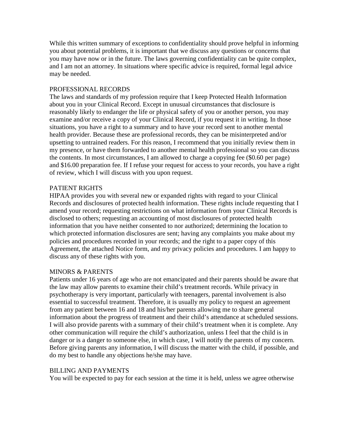While this written summary of exceptions to confidentiality should prove helpful in informing you about potential problems, it is important that we discuss any questions or concerns that you may have now or in the future. The laws governing confidentiality can be quite complex, and I am not an attorney. In situations where specific advice is required, formal legal advice may be needed.

### PROFESSIONAL RECORDS

The laws and standards of my profession require that I keep Protected Health Information about you in your Clinical Record. Except in unusual circumstances that disclosure is reasonably likely to endanger the life or physical safety of you or another person, you may examine and/or receive a copy of your Clinical Record, if you request it in writing. In those situations, you have a right to a summary and to have your record sent to another mental health provider. Because these are professional records, they can be misinterpreted and/or upsetting to untrained readers. For this reason, I recommend that you initially review them in my presence, or have them forwarded to another mental health professional so you can discuss the contents. In most circumstances, I am allowed to charge a copying fee (\$0.60 per page) and \$16.00 preparation fee. If I refuse your request for access to your records, you have a right of review, which I will discuss with you upon request.

## PATIENT RIGHTS

HIPAA provides you with several new or expanded rights with regard to your Clinical Records and disclosures of protected health information. These rights include requesting that I amend your record; requesting restrictions on what information from your Clinical Records is disclosed to others; requesting an accounting of most disclosures of protected health information that you have neither consented to nor authorized; determining the location to which protected information disclosures are sent; having any complaints you make about my policies and procedures recorded in your records; and the right to a paper copy of this Agreement, the attached Notice form, and my privacy policies and procedures. I am happy to discuss any of these rights with you.

#### MINORS & PARENTS

Patients under 16 years of age who are not emancipated and their parents should be aware that the law may allow parents to examine their child's treatment records. While privacy in psychotherapy is very important, particularly with teenagers, parental involvement is also essential to successful treatment. Therefore, it is usually my policy to request an agreement from any patient between 16 and 18 and his/her parents allowing me to share general information about the progress of treatment and their child's attendance at scheduled sessions. I will also provide parents with a summary of their child's treatment when it is complete. Any other communication will require the child's authorization, unless I feel that the child is in danger or is a danger to someone else, in which case, I will notify the parents of my concern. Before giving parents any information, I will discuss the matter with the child, if possible, and do my best to handle any objections he/she may have.

#### BILLING AND PAYMENTS

You will be expected to pay for each session at the time it is held, unless we agree otherwise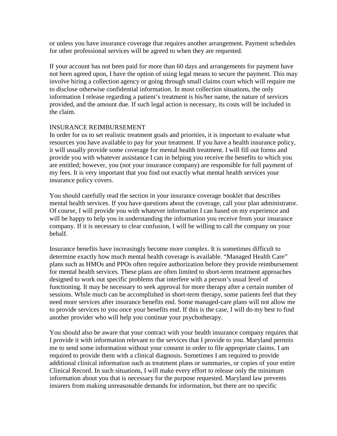or unless you have insurance coverage that requires another arrangement. Payment schedules for other professional services will be agreed to when they are requested.

If your account has not been paid for more than 60 days and arrangements for payment have not been agreed upon, I have the option of using legal means to secure the payment. This may involve hiring a collection agency or going through small claims court which will require me to disclose otherwise confidential information. In most collection situations, the only information I release regarding a patient's treatment is his/her name, the nature of services provided, and the amount due. If such legal action is necessary, its costs will be included in the claim.

### INSURANCE REIMBURSEMENT

In order for us to set realistic treatment goals and priorities, it is important to evaluate what resources you have available to pay for your treatment. If you have a health insurance policy, it will usually provide some coverage for mental health treatment. I will fill out forms and provide you with whatever assistance I can in helping you receive the benefits to which you are entitled; however, you (not your insurance company) are responsible for full payment of my fees. It is very important that you find out exactly what mental health services your insurance policy covers.

You should carefully read the section in your insurance coverage booklet that describes mental health services. If you have questions about the coverage, call your plan administrator. Of course, I will provide you with whatever information I can based on my experience and will be happy to help you in understanding the information you receive from your insurance company. If it is necessary to clear confusion, I will be willing to call the company on your behalf.

Insurance benefits have increasingly become more complex. It is sometimes difficult to determine exactly how much mental health coverage is available. "Managed Health Care" plans such as HMOs and PPOs often require authorization before they provide reimbursement for mental health services. These plans are often limited to short-term treatment approaches designed to work out specific problems that interfere with a person's usual level of functioning. It may be necessary to seek approval for more therapy after a certain number of sessions. While much can be accomplished in short-term therapy, some patients feel that they need more services after insurance benefits end. Some managed-care plans will not allow me to provide services to you once your benefits end. If this is the case, I will do my best to find another provider who will help you continue your psychotherapy.

You should also be aware that your contract with your health insurance company requires that I provide it with information relevant to the services that I provide to you. Maryland permits me to send some information without your consent in order to file appropriate claims. I am required to provide them with a clinical diagnosis. Sometimes I am required to provide additional clinical information such as treatment plans or summaries, or copies of your entire Clinical Record. In such situations, I will make every effort to release only the minimum information about you that is necessary for the purpose requested. Maryland law prevents insurers from making unreasonable demands for information, but there are no specific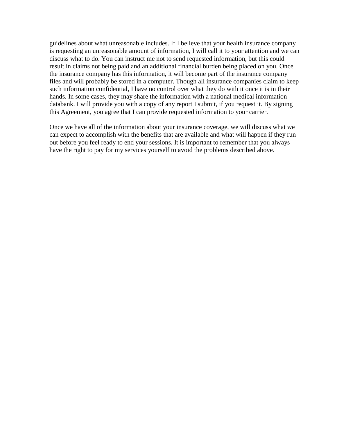guidelines about what unreasonable includes. If I believe that your health insurance company is requesting an unreasonable amount of information, I will call it to your attention and we can discuss what to do. You can instruct me not to send requested information, but this could result in claims not being paid and an additional financial burden being placed on you. Once the insurance company has this information, it will become part of the insurance company files and will probably be stored in a computer. Though all insurance companies claim to keep such information confidential, I have no control over what they do with it once it is in their hands. In some cases, they may share the information with a national medical information databank. I will provide you with a copy of any report I submit, if you request it. By signing this Agreement, you agree that I can provide requested information to your carrier.

Once we have all of the information about your insurance coverage, we will discuss what we can expect to accomplish with the benefits that are available and what will happen if they run out before you feel ready to end your sessions. It is important to remember that you always have the right to pay for my services yourself to avoid the problems described above.